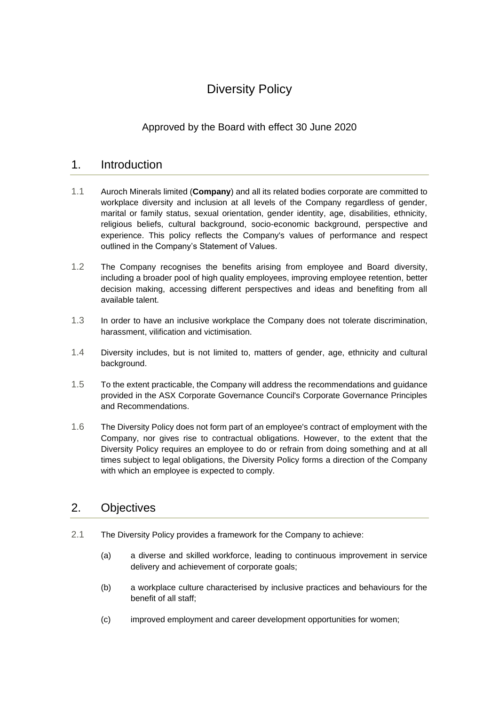# Diversity Policy

# Approved by the Board with effect 30 June 2020

## 1. Introduction

- 1.1 Auroch Minerals limited (**Company**) and all its related bodies corporate are committed to workplace diversity and inclusion at all levels of the Company regardless of gender, marital or family status, sexual orientation, gender identity, age, disabilities, ethnicity, religious beliefs, cultural background, socio-economic background, perspective and experience. This policy reflects the Company's values of performance and respect outlined in the Company's Statement of Values.
- 1.2 The Company recognises the benefits arising from employee and Board diversity, including a broader pool of high quality employees, improving employee retention, better decision making, accessing different perspectives and ideas and benefiting from all available talent.
- 1.3 In order to have an inclusive workplace the Company does not tolerate discrimination, harassment, vilification and victimisation.
- 1.4 Diversity includes, but is not limited to, matters of gender, age, ethnicity and cultural background.
- 1.5 To the extent practicable, the Company will address the recommendations and guidance provided in the ASX Corporate Governance Council's Corporate Governance Principles and Recommendations.
- 1.6 The Diversity Policy does not form part of an employee's contract of employment with the Company, nor gives rise to contractual obligations. However, to the extent that the Diversity Policy requires an employee to do or refrain from doing something and at all times subject to legal obligations, the Diversity Policy forms a direction of the Company with which an employee is expected to comply.

# 2. Objectives

- 2.1 The Diversity Policy provides a framework for the Company to achieve:
	- (a) a diverse and skilled workforce, leading to continuous improvement in service delivery and achievement of corporate goals;
	- (b) a workplace culture characterised by inclusive practices and behaviours for the benefit of all staff;
	- (c) improved employment and career development opportunities for women;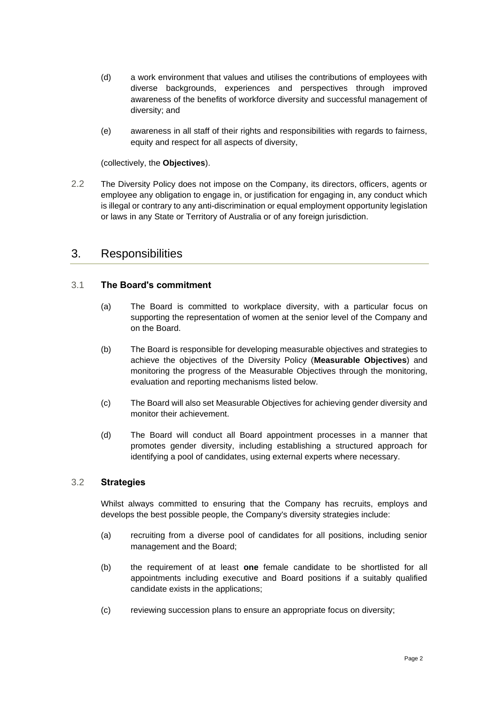- (d) a work environment that values and utilises the contributions of employees with diverse backgrounds, experiences and perspectives through improved awareness of the benefits of workforce diversity and successful management of diversity; and
- (e) awareness in all staff of their rights and responsibilities with regards to fairness, equity and respect for all aspects of diversity,

(collectively, the **Objectives**).

2.2 The Diversity Policy does not impose on the Company, its directors, officers, agents or employee any obligation to engage in, or justification for engaging in, any conduct which is illegal or contrary to any anti-discrimination or equal employment opportunity legislation or laws in any State or Territory of Australia or of any foreign jurisdiction.

#### 3. Responsibilities

#### 3.1 **The Board's commitment**

- (a) The Board is committed to workplace diversity, with a particular focus on supporting the representation of women at the senior level of the Company and on the Board.
- (b) The Board is responsible for developing measurable objectives and strategies to achieve the objectives of the Diversity Policy (**Measurable Objectives**) and monitoring the progress of the Measurable Objectives through the monitoring, evaluation and reporting mechanisms listed below.
- (c) The Board will also set Measurable Objectives for achieving gender diversity and monitor their achievement.
- (d) The Board will conduct all Board appointment processes in a manner that promotes gender diversity, including establishing a structured approach for identifying a pool of candidates, using external experts where necessary.

#### 3.2 **Strategies**

Whilst always committed to ensuring that the Company has recruits, employs and develops the best possible people, the Company's diversity strategies include:

- (a) recruiting from a diverse pool of candidates for all positions, including senior management and the Board;
- (b) the requirement of at least **one** female candidate to be shortlisted for all appointments including executive and Board positions if a suitably qualified candidate exists in the applications;
- (c) reviewing succession plans to ensure an appropriate focus on diversity;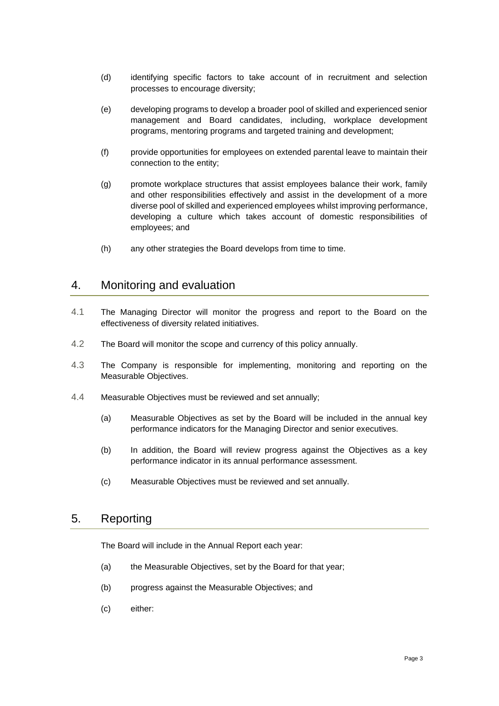- (d) identifying specific factors to take account of in recruitment and selection processes to encourage diversity;
- (e) developing programs to develop a broader pool of skilled and experienced senior management and Board candidates, including, workplace development programs, mentoring programs and targeted training and development;
- (f) provide opportunities for employees on extended parental leave to maintain their connection to the entity;
- (g) promote workplace structures that assist employees balance their work, family and other responsibilities effectively and assist in the development of a more diverse pool of skilled and experienced employees whilst improving performance, developing a culture which takes account of domestic responsibilities of employees; and
- (h) any other strategies the Board develops from time to time.

#### 4. Monitoring and evaluation

- 4.1 The Managing Director will monitor the progress and report to the Board on the effectiveness of diversity related initiatives.
- 4.2 The Board will monitor the scope and currency of this policy annually.
- 4.3 The Company is responsible for implementing, monitoring and reporting on the Measurable Objectives.
- 4.4 Measurable Objectives must be reviewed and set annually;
	- (a) Measurable Objectives as set by the Board will be included in the annual key performance indicators for the Managing Director and senior executives.
	- (b) In addition, the Board will review progress against the Objectives as a key performance indicator in its annual performance assessment.
	- (c) Measurable Objectives must be reviewed and set annually.

## 5. Reporting

The Board will include in the Annual Report each year:

- (a) the Measurable Objectives, set by the Board for that year;
- (b) progress against the Measurable Objectives; and
- (c) either: